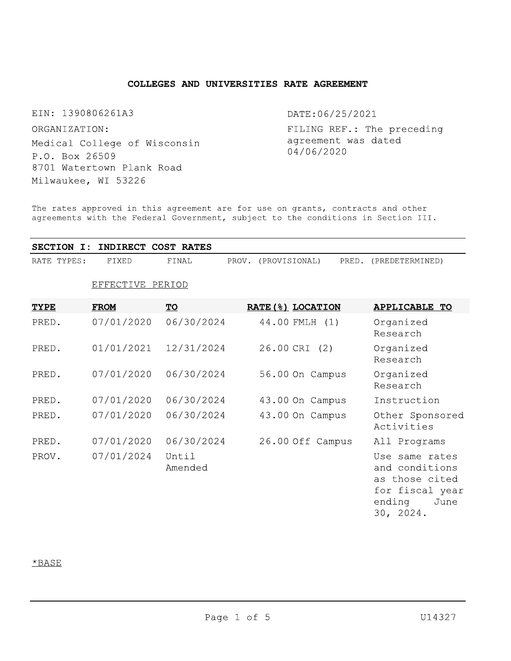## COLLEGES AND UNIVERSITIES RATE AGREEMENT

EIN: 1390806261A3

ORGANIZATION: Medical College of Wisconsin P.O. Box 26509 8701 Watertown Plank Road Milwaukee, WI 53226

DATE: 06/25/2021

FILING REF.: The preceding agreement was dated 04/06/2020

The rates approved in this agreement are for use on grants, contracts and other agreements with the Federal Government, subject to the conditions in Section III.

|             |       | SECTION I: INDIRECT COST RATES |                     |                       |
|-------------|-------|--------------------------------|---------------------|-----------------------|
| RATE TYPES: | FIXED | FINAL                          | PROV. (PROVISIONAL) | PRED. (PREDETERMINED) |

# EFFECTIVE PERIOD

| <b>TYPE</b> | <b>FROM</b> | <u>TO</u>        | RATE (%) LOCATION | <b>APPLICABLE TO</b>                                                                                 |
|-------------|-------------|------------------|-------------------|------------------------------------------------------------------------------------------------------|
| PRED.       | 07/01/2020  | 06/30/2024       | 44.00 FMLH (1)    | Organized<br>Research                                                                                |
| PRED.       | 01/01/2021  | 12/31/2024       | 26.00 CRI (2)     | Organized<br>Research                                                                                |
| PRED.       | 07/01/2020  | 06/30/2024       | 56.00 On Campus   | Organized<br>Research                                                                                |
| PRED.       | 07/01/2020  | 06/30/2024       | 43.00 On Campus   | Instruction                                                                                          |
| PRED.       | 07/01/2020  | 06/30/2024       | 43.00 On Campus   | Other Sponsored<br>Activities                                                                        |
| PRED.       | 07/01/2020  | 06/30/2024       | 26.00 Off Campus  | All Programs                                                                                         |
| PROV.       | 07/01/2024  | Until<br>Amended |                   | Use same rates<br>and conditions<br>as those cited<br>for fiscal year<br>ending<br>June<br>30, 2024. |

## $*$ BASE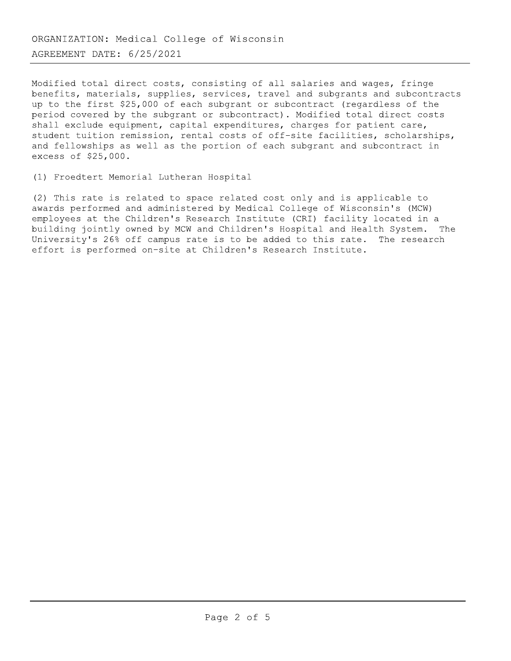Modified total direct costs, consisting of all salaries and wages, fringe benefits, materials, supplies, services, travel and subgrants and subcontracts up to the first \$25,000 of each subgrant or subcontract (regardless of the period covered by the subgrant or subcontract). Modified total direct costs shall exclude equipment, capital expenditures, charges for patient care, student tuition remission, rental costs of off-site facilities, scholarships, and fellowships as well as the portion of each subgrant and subcontract in excess of \$25,000.

(1) Froedtert Memorial Lutheran Hospital

(2) This rate is related to space related cost only and is applicable to awards performed and administered by Medical College of Wisconsin's (MCW) employees at the Children's Research Institute (CRI) facility located in a building jointly owned by MCW and Children's Hospital and Health System. The University's 26% off campus rate is to be added to this rate. The research effort is performed on-site at Children's Research Institute.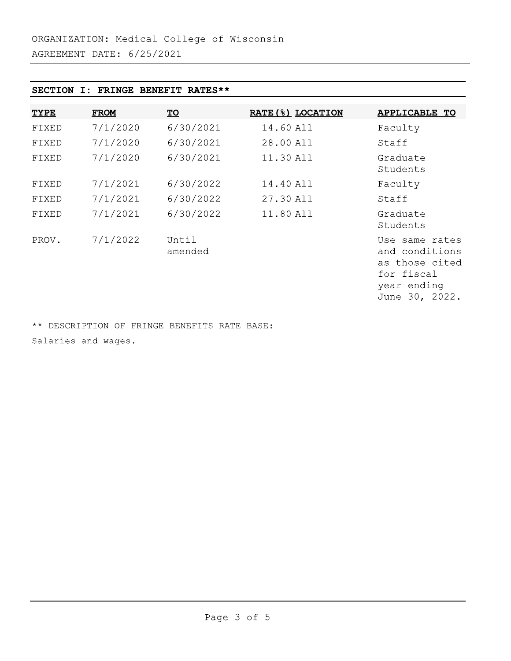## SECTION I: FRINGE BENEFIT RATES\*\*

| <b>TYPE</b> | <b>FROM</b> | $\underline{\mathbf{TO}}$ | <b>RATE (%) LOCATION</b> | <b>APPLICABLE TO</b>                                                                              |
|-------------|-------------|---------------------------|--------------------------|---------------------------------------------------------------------------------------------------|
| FIXED       | 7/1/2020    | 6/30/2021                 | 14.60 All                | Faculty                                                                                           |
| FIXED       | 7/1/2020    | 6/30/2021                 | 28.00 All                | Staff                                                                                             |
| FIXED       | 7/1/2020    | 6/30/2021                 | 11.30 All                | Graduate<br>Students                                                                              |
| FIXED       | 7/1/2021    | 6/30/2022                 | 14.40 All                | Faculty                                                                                           |
| FIXED       | 7/1/2021    | 6/30/2022                 | 27.30 All                | Staff                                                                                             |
| FIXED       | 7/1/2021    | 6/30/2022                 | 11.80 All                | Graduate<br>Students                                                                              |
| PROV.       | 7/1/2022    | Until<br>amended          |                          | Use same rates<br>and conditions<br>as those cited<br>for fiscal<br>year ending<br>June 30, 2022. |

\*\* DESCRIPTION OF FRINGE BENEFITS RATE BASE: Salaries and wages.

Page 3 of 5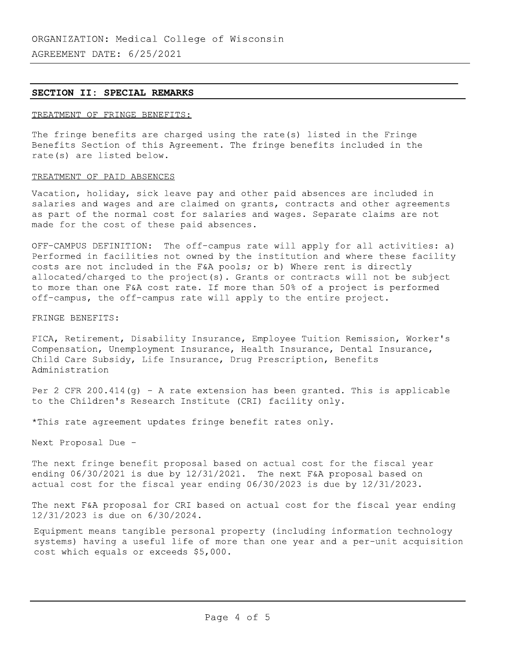### SECTION II: SPECIAL REMARKS

## TREATMENT OF FRINGE BENEFITS:

The fringe benefits are charged using the rate(s) listed in the Fringe Benefits Section of this Agreement. The fringe benefits included in the rate(s) are listed below.

### TREATMENT OF PAID ABSENCES

Vacation, holiday, sick leave pay and other paid absences are included in salaries and wages and are claimed on grants, contracts and other agreements as part of the normal cost for salaries and wages. Separate claims are not made for the cost of these paid absences.

OFF-CAMPUS DEFINITION: The off-campus rate will apply for all activities: a) Performed in facilities not owned by the institution and where these facility costs are not included in the F&A pools; or b) Where rent is directly allocated/charged to the project(s). Grants or contracts will not be subject to more than one F&A cost rate. If more than 50% of a project is performed off-campus, the off-campus rate will apply to the entire project.

FRINGE BENEFITS:

FICA, Retirement, Disability Insurance, Employee Tuition Remission, Worker's Compensation, Unemployment Insurance, Health Insurance, Dental Insurance, Child Care Subsidy, Life Insurance, Drug Prescription, Benefits Administration

Per 2 CFR 200.414(g) - A rate extension has been granted. This is applicable to the Children's Research Institute (CRI) facility only.

\*This rate agreement updates fringe benefit rates only.

Next Proposal Due -

The next fringe benefit proposal based on actual cost for the fiscal year ending  $06/30/2021$  is due by  $12/31/2021$ . The next F&A proposal based on actual cost for the fiscal year ending 06/30/2023 is due by 12/31/2023.

The next F&A proposal for CRI based on actual cost for the fiscal year ending 12/31/2023 is due on 6/30/2024.

Equipment means tangible personal property (including information technology systems) having a useful life of more than one year and a per-unit acquisition cost which equals or exceeds \$5,000.